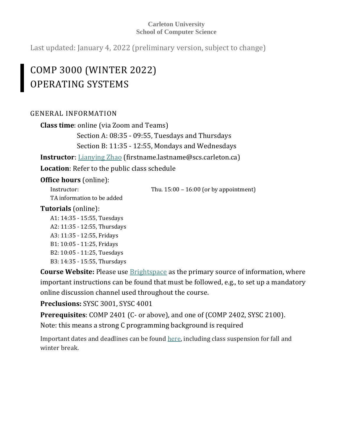#### **Carleton University School of Computer Science**

Last updated: January 4, 2022 (preliminary version, subject to change)

# COMP 3000 (WINTER 2022) OPERATING SYSTEMS

## GENERAL INFORMATION

**Class time**: online (via Zoom and Teams)

Section A: 08:35 - 09:55, Tuesdays and Thursdays

Section B: 11:35 - 12:55, Mondays and Wednesdays

**Instructor**: [Lianying Zhao](https://people.scs.carleton.ca/~lianyingzhao/) (firstname.lastname@scs.carleton.ca)

**Location**: Refer to the public class schedule

## **Office hours** (online):

TA information to be added

Instructor: Thu. 15:00 – 16:00 (or by appointment)

## **Tutorials** (online):

A1: 14:35 - 15:55, Tuesdays A2: 11:35 - 12:55, Thursdays A3: 11:35 - 12:55, Fridays B1: 10:05 - 11:25, Fridays B2: 10:05 - 11:25, Tuesdays B3: 14:35 - 15:55, Thursdays

**Course Website:** Please use [Brightspace](https://brightspace.carleton.ca/) as the primary source of information, where important instructions can be found that must be followed, e.g., to set up a mandatory online discussion channel used throughout the course.

## **Preclusions:** SYSC 3001, SYSC 4001

**Prerequisites**: COMP 2401 (C- or above), and one of (COMP 2402, SYSC 2100). Note: this means a strong C programming background is required

Important dates and deadlines can be found [here,](https://carleton.ca/registrar/registration/dates/) including class suspension for fall and winter break.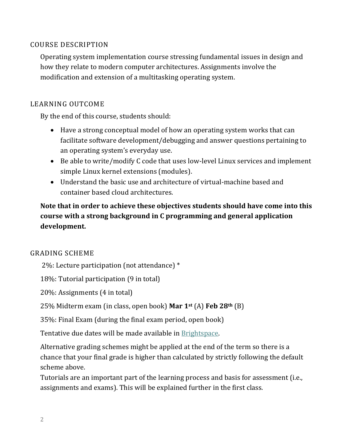## COURSE DESCRIPTION

Operating system implementation course stressing fundamental issues in design and how they relate to modern computer architectures. Assignments involve the modification and extension of a multitasking operating system.

## LEARNING OUTCOME

By the end of this course, students should:

- Have a strong conceptual model of how an operating system works that can facilitate software development/debugging and answer questions pertaining to an operating system's everyday use.
- Be able to write/modify C code that uses low-level Linux services and implement simple Linux kernel extensions (modules).
- Understand the basic use and architecture of virtual-machine based and container based cloud architectures.

## **Note that in order to achieve these objectives students should have come into this course with a strong background in C programming and general application development.**

## GRADING SCHEME

2%: Lecture participation (not attendance) \*

18%: Tutorial participation (9 in total)

20%: Assignments (4 in total)

25% Midterm exam (in class, open book) **Mar 1st** (A) **Feb 28th** (B)

35%: Final Exam (during the final exam period, open book)

Tentative due dates will be made available in [Brightspace.](https://brightspace.carleton.ca/)

Alternative grading schemes might be applied at the end of the term so there is a chance that your final grade is higher than calculated by strictly following the default scheme above.

Tutorials are an important part of the learning process and basis for assessment (i.e., assignments and exams). This will be explained further in the first class.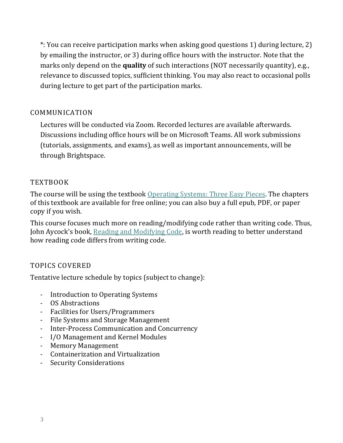\*: You can receive participation marks when asking good questions 1) during lecture, 2) by emailing the instructor, or 3) during office hours with the instructor. Note that the marks only depend on the **quality** of such interactions (NOT necessarily quantity), e.g., relevance to discussed topics, sufficient thinking. You may also react to occasional polls during lecture to get part of the participation marks.

## COMMUNICATION

Lectures will be conducted via Zoom. Recorded lectures are available afterwards. Discussions including office hours will be on Microsoft Teams. All work submissions (tutorials, assignments, and exams), as well as important announcements, will be through Brightspace.

## **TEXTBOOK**

The course will be using the textbook [Operating Systems: Three Easy Pieces.](http://pages.cs.wisc.edu/~remzi/OSTEP/) The chapters of this textbook are available for free online; you can also buy a full epub, PDF, or paper copy if you wish.

This course focuses much more on reading/modifying code rather than writing code. Thus, John Aycock's book, [Reading and Modifying Code,](http://pages.cpsc.ucalgary.ca/~aycock/reading-and-modifying-code.pdf) is worth reading to better understand how reading code differs from writing code.

## TOPICS COVERED

Tentative lecture schedule by topics (subject to change):

- Introduction to Operating Systems
- OS Abstractions
- Facilities for Users/Programmers
- File Systems and Storage Management
- Inter-Process Communication and Concurrency
- I/O Management and Kernel Modules
- Memory Management
- Containerization and Virtualization
- Security Considerations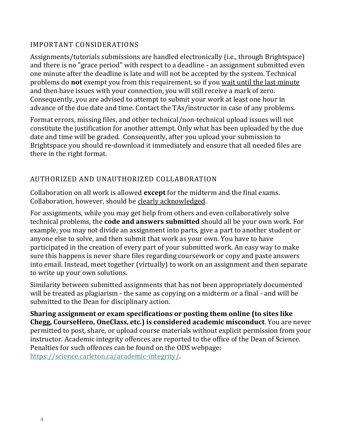## IMPORTANT CONSIDERATIONS

Assignments/tutorials submissions are handled electronically (i.e., through Brightspace) and there is no "grace period" with respect to a deadline - an assignment submitted even one minute after the deadline is late and will not be accepted by the system. Technical problems do **not** exempt you from this requirement, so if you wait until the last minute and then have issues with your connection, you will still receive a mark of zero. Consequently, you are advised to attempt to submit your work at least one hour in advance of the due date and time. Contact the TAs/instructor in case of any problems.

Format errors, missing files, and other technical/non-technical upload issues will not constitute the justification for another attempt. Only what has been uploaded by the due date and time will be graded. Consequently, after you upload your submission to Brightspace you should re-download it immediately and ensure that all needed files are there in the right format.

## AUTHORIZED AND UNAUTHORIZED COLLABORATION

Collaboration on all work is allowed **except** for the midterm and the final exams. Collaboration, however, should be clearly acknowledged.

For assignments, while you may get help from others and even collaboratively solve technical problems, the **code and answers submitted** should all be your own work. For example, you may not divide an assignment into parts, give a part to another student or anyone else to solve, and then submit that work as your own. You have to have participated in the creation of every part of your submitted work. An easy way to make sure this happens is never share files regarding coursework or copy and paste answers into email. Instead, meet together (virtually) to work on an assignment and then separate to write up your own solutions.

Similarity between submitted assignments that has not been appropriately documented will be treated as plagiarism - the same as copying on a midterm or a final - and will be submitted to the Dean for disciplinary action.

**Sharing assignment or exam specifications or posting them online (to sites like Chegg, CourseHero, OneClass, etc.) is considered academic misconduct**. You are never permitted to post, share, or upload course materials without explicit permission from your instructor. Academic integrity offences are reported to the office of the Dean of Science. Penalties for such offences can be found on the ODS webpage: [https://science.carleton.ca/academic-integrity/.](https://science.carleton.ca/academic-integrity/)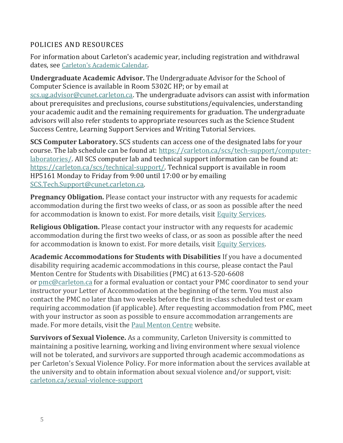## POLICIES AND RESOURCES

For information about Carleton's academic year, including registration and withdrawal dates, see [Carleton's Academic Calendar](https://calendar.carleton.ca/academicyear/).

**Undergraduate Academic Advisor.** The Undergraduate Advisor for the School of Computer Science is available in Room 5302C HP; or by email at [scs.ug.advisor@cunet.carleton.ca.](mailto:scs.ug.advisor@cunet.carleton.ca) The undergraduate advisors can assist with information about prerequisites and preclusions, course substitutions/equivalencies, understanding your academic audit and the remaining requirements for graduation. The undergraduate advisors will also refer students to appropriate resources such as the Science Student Success Centre, Learning Support Services and Writing Tutorial Services.

**SCS Computer Laboratory.** SCS students can access one of the designated labs for your course. The lab schedule can be found at: [https://carleton.ca/scs/tech-support/computer](https://carleton.ca/scs/tech-support/computer-laboratories/)[laboratories/.](https://carleton.ca/scs/tech-support/computer-laboratories/) All SCS computer lab and technical support information can be found at: [https://carleton.ca/scs/technical-support/.](https://carleton.ca/scs/technical-support/) Technical support is available in room HP5161 Monday to Friday from 9:00 until 17:00 or by emailing [SCS.Tech.Support@cunet.carleton.ca.](mailto:SCS.Tech.Support@cunet.carleton.ca)

**Pregnancy Obligation.** Please contact your instructor with any requests for academic accommodation during the first two weeks of class, or as soon as possible after the need for accommodation is known to exist. For more details, visit [Equity Services.](https://carleton.ca/womensstudies/resources-and-links/equity-services/)

**Religious Obligation.** Please contact your instructor with any requests for academic accommodation during the first two weeks of class, or as soon as possible after the need for accommodation is known to exist. For more details, visit [Equity Services.](https://carleton.ca/womensstudies/resources-and-links/equity-services/)

**Academic Accommodations for Students with Disabilities** If you have a documented disability requiring academic accommodations in this course, please contact the Paul Menton Centre for Students with Disabilities (PMC) at 613-520-6608 or [pmc@carleton.ca](mailto:pmc@carleton.ca) for a formal evaluation or contact your PMC coordinator to send your instructor your Letter of Accommodation at the beginning of the term. You must also contact the PMC no later than two weeks before the first in-class scheduled test or exam requiring accommodation (if applicable). After requesting accommodation from PMC, meet with your instructor as soon as possible to ensure accommodation arrangements are made. For more details, visit the [Paul Menton Centre](http://carleton.ca/pmc) website.

**Survivors of Sexual Violence.** As a community, Carleton University is committed to maintaining a positive learning, working and living environment where sexual violence will not be tolerated, and survivors are supported through academic accommodations as per Carleton's Sexual Violence Policy. For more information about the services available at the university and to obtain information about sexual violence and/or support, visit: [carleton.ca/sexual-violence-support](http://carleton.ca/sexual-violence-support)